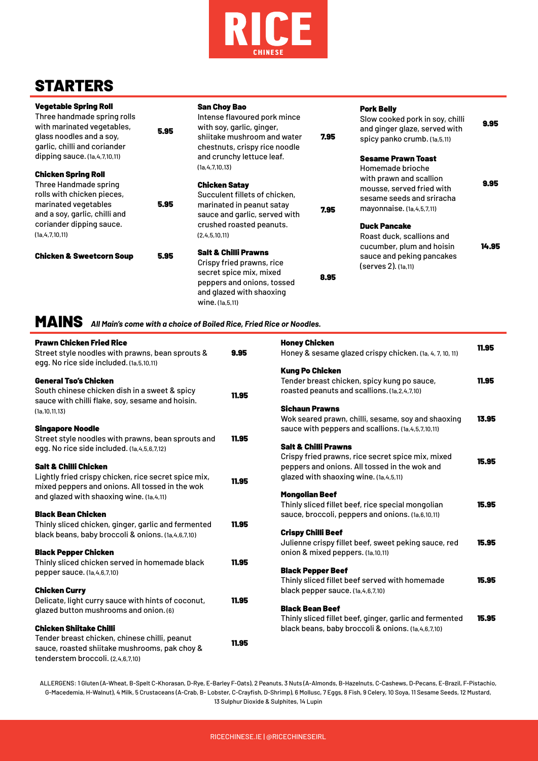

# **STARTERS**

| <b>Vegetable Spring Roll</b><br>Three handmade spring rolls<br>with marinated vegetables,<br>glass noodles and a soy,<br>garlic, chilli and coriander | 5.95 | <b>San Choy Bao</b><br>Intense flavoured pork mince<br>with soy, garlic, ginger,<br>shiitake mushroom and water<br>chestnuts, crispy rice noodle                       | 7.95 | <b>Pork Belly</b><br>Slow cooked pork in soy, chilli<br>and ginger glaze, served with<br>spicy panko crumb. (1a,5,11) | 9.95  |
|-------------------------------------------------------------------------------------------------------------------------------------------------------|------|------------------------------------------------------------------------------------------------------------------------------------------------------------------------|------|-----------------------------------------------------------------------------------------------------------------------|-------|
| dipping sauce. $(1a, 4, 7, 10, 11)$                                                                                                                   |      | and crunchy lettuce leaf.<br>(1a, 4, 7, 10, 13)                                                                                                                        |      | <b>Sesame Prawn Toast</b><br>Homemade brioche                                                                         |       |
| <b>Chicken Spring Roll</b><br>Three Handmade spring<br>rolls with chicken pieces,<br>marinated vegetables<br>and a soy, garlic, chilli and            | 5.95 | <b>Chicken Satay</b><br>Succulent fillets of chicken,<br>marinated in peanut satay<br>sauce and garlic, served with                                                    | 7.95 | with prawn and scallion<br>mousse, served fried with<br>sesame seeds and sriracha<br>mayonnaise. (1a, 4, 5, 7, 11)    | 9.95  |
| coriander dipping sauce.<br>(1a, 4, 7, 10, 11)                                                                                                        |      | crushed roasted peanuts.<br>(2,4,5,10,11)                                                                                                                              |      | <b>Duck Pancake</b><br>Roast duck, scallions and                                                                      |       |
| <b>Chicken &amp; Sweetcorn Soup</b>                                                                                                                   | 5.95 | <b>Salt &amp; Chilli Prawns</b><br>Crispy fried prawns, rice<br>secret spice mix, mixed<br>peppers and onions, tossed<br>and glazed with shaoxing<br>wine. (1a, 5, 11) | 8.95 | cucumber, plum and hoisin<br>sauce and peking pancakes<br>(serves 2). (1a,11)                                         | 14.95 |

MAINS *All Main's come with a choice of Boiled Rice, Fried Rice or Noodles.*

| <b>Prawn Chicken Fried Rice</b><br>Street style noodles with prawns, bean sprouts &<br>egg. No rice side included. (1a, 5, 10, 11)                                    | 9.95  | <b>Honey Chicken</b><br>Honey & sesame glazed crispy chicken. (1a, 4, 7, 10, 11)                                                                                          | 11.95 |
|-----------------------------------------------------------------------------------------------------------------------------------------------------------------------|-------|---------------------------------------------------------------------------------------------------------------------------------------------------------------------------|-------|
| <b>General Tso's Chicken</b><br>South chinese chicken dish in a sweet & spicy<br>sauce with chilli flake, soy, sesame and hoisin.                                     | 11.95 | <b>Kung Po Chicken</b><br>Tender breast chicken, spicy kung po sauce,<br>roasted peanuts and scallions. (1a, 2, 4, 7, 10)                                                 | 11.95 |
| (1a, 10, 11, 13)<br><b>Singapore Noodle</b><br>Street style noodles with prawns, bean sprouts and<br>egg. No rice side included. (1a, 4, 5, 6, 7, 12)                 | 11.95 | <b>Sichaun Prawns</b><br>Wok seared prawn, chilli, sesame, soy and shaoxing<br>sauce with peppers and scallions. (1a, 4, 5, 7, 10, 11)<br><b>Salt &amp; Chilli Prawns</b> | 13.95 |
| <b>Salt &amp; Chilli Chicken</b><br>Lightly fried crispy chicken, rice secret spice mix,<br>mixed peppers and onions. All tossed in the wok                           | 11.95 | Crispy fried prawns, rice secret spice mix, mixed<br>peppers and onions. All tossed in the wok and<br>glazed with shaoxing wine. (1a, 4, 5, 11)                           | 15.95 |
| and glazed with shaoxing wine. (1a, 4, 11)<br><b>Black Bean Chicken</b>                                                                                               |       | <b>Mongolian Beef</b><br>Thinly sliced fillet beef, rice special mongolian<br>sauce, broccoli, peppers and onions. (1a, 6, 10, 11)                                        | 15.95 |
| Thinly sliced chicken, ginger, garlic and fermented<br>black beans, baby broccoli & onions. (1a, 4, 6, 7, 10)                                                         | 11.95 | <b>Crispy Chilli Beef</b><br>Julienne crispy fillet beef, sweet peking sauce, red                                                                                         | 15.95 |
| <b>Black Pepper Chicken</b><br>Thinly sliced chicken served in homemade black<br>pepper sauce. (1a, 4, 6, 7, 10)                                                      | 11.95 | onion & mixed peppers. (1a,10,11)<br><b>Black Pepper Beef</b><br>Thinly sliced fillet beef served with homemade                                                           | 15.95 |
| <b>Chicken Curry</b><br>Delicate, light curry sauce with hints of coconut,<br>glazed button mushrooms and onion. (6)                                                  | 11.95 | black pepper sauce. (1a,4,6,7,10)<br><b>Black Bean Beef</b>                                                                                                               |       |
| <b>Chicken Shiitake Chilli</b><br>Tender breast chicken, chinese chilli, peanut<br>sauce, roasted shiitake mushrooms, pak choy &<br>tenderstem broccoli. (2,4,6,7,10) | 11.95 | Thinly sliced fillet beef, ginger, garlic and fermented<br>black beans, baby broccoli & onions. (1a, 4, 6, 7, 10)                                                         | 15.95 |

ALLERGENS: 1 Gluten (A-Wheat, B-Spelt C-Khorasan, D-Rye, E-Barley F-Oats), 2 Peanuts, 3 Nuts (A-Almonds, B-Hazelnuts, C-Cashews, D-Pecans, E-Brazil, F-Pistachio, G-Macedemia, H-Walnut), 4 Milk, 5 Crustaceans (A-Crab, B- Lobster, C-Crayfish, D-Shrimp), 6 Mollusc, 7 Eggs, 8 Fish, 9 Celery, 10 Soya, 11 Sesame Seeds, 12 Mustard, 13 Sulphur Dioxide & Sulphites, 14 Lupin